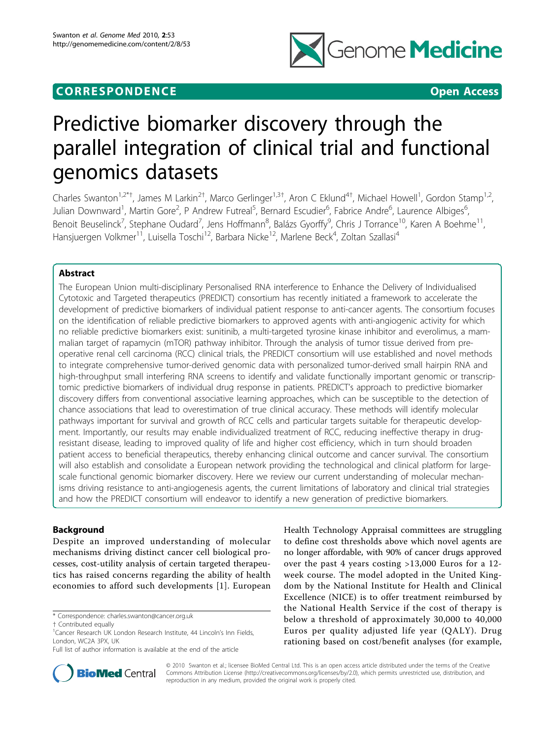



# Predictive biomarker discovery through the parallel integration of clinical trial and functional genomics datasets

Charles Swanton<sup>1,2\*†</sup>, James M Larkin<sup>2†</sup>, Marco Gerlinger<sup>1,3†</sup>, Aron C Eklund<sup>4†</sup>, Michael Howell<sup>1</sup>, Gordon Stamp<sup>1,2</sup>, Julian Downward<sup>1</sup>, Martin Gore<sup>2</sup>, P Andrew Futreal<sup>5</sup>, Bernard Escudier<sup>6</sup>, Fabrice Andre<sup>6</sup>, Laurence Albiges<sup>6</sup> י<br>, Benoit Beuselinck<sup>7</sup>, Stephane Oudard<sup>7</sup>, Jens Hoffmann<sup>8</sup>, Balázs Gyorffy<sup>9</sup>, Chris J Torrance<sup>10</sup>, Karen A Boehme<sup>11</sup>, Hansjuergen Volkmer<sup>11</sup>, Luisella Toschi<sup>12</sup>, Barbara Nicke<sup>12</sup>, Marlene Beck<sup>4</sup>, Zoltan Szallasi<sup>4</sup>

# Abstract

The European Union multi-disciplinary Personalised RNA interference to Enhance the Delivery of Individualised Cytotoxic and Targeted therapeutics (PREDICT) consortium has recently initiated a framework to accelerate the development of predictive biomarkers of individual patient response to anti-cancer agents. The consortium focuses on the identification of reliable predictive biomarkers to approved agents with anti-angiogenic activity for which no reliable predictive biomarkers exist: sunitinib, a multi-targeted tyrosine kinase inhibitor and everolimus, a mammalian target of rapamycin (mTOR) pathway inhibitor. Through the analysis of tumor tissue derived from preoperative renal cell carcinoma (RCC) clinical trials, the PREDICT consortium will use established and novel methods to integrate comprehensive tumor-derived genomic data with personalized tumor-derived small hairpin RNA and high-throughput small interfering RNA screens to identify and validate functionally important genomic or transcriptomic predictive biomarkers of individual drug response in patients. PREDICT's approach to predictive biomarker discovery differs from conventional associative learning approaches, which can be susceptible to the detection of chance associations that lead to overestimation of true clinical accuracy. These methods will identify molecular pathways important for survival and growth of RCC cells and particular targets suitable for therapeutic development. Importantly, our results may enable individualized treatment of RCC, reducing ineffective therapy in drugresistant disease, leading to improved quality of life and higher cost efficiency, which in turn should broaden patient access to beneficial therapeutics, thereby enhancing clinical outcome and cancer survival. The consortium will also establish and consolidate a European network providing the technological and clinical platform for largescale functional genomic biomarker discovery. Here we review our current understanding of molecular mechanisms driving resistance to anti-angiogenesis agents, the current limitations of laboratory and clinical trial strategies and how the PREDICT consortium will endeavor to identify a new generation of predictive biomarkers.

# Background

Despite an improved understanding of molecular mechanisms driving distinct cancer cell biological processes, cost-utility analysis of certain targeted therapeutics has raised concerns regarding the ability of health economies to afford such developments [[1\]](#page-8-0). European

\* Correspondence: [charles.swanton@cancer.org.uk](mailto:charles.swanton@cancer.org.uk)

† Contributed equally <sup>1</sup>

Health Technology Appraisal committees are struggling to define cost thresholds above which novel agents are no longer affordable, with 90% of cancer drugs approved over the past 4 years costing >13,000 Euros for a 12 week course. The model adopted in the United Kingdom by the National Institute for Health and Clinical Excellence (NICE) is to offer treatment reimbursed by the National Health Service if the cost of therapy is below a threshold of approximately 30,000 to 40,000 Euros per quality adjusted life year (QALY). Drug rationing based on cost/benefit analyses (for example,



© 2010 Swanton et al.; licensee BioMed Central Ltd. This is an open access article distributed under the terms of the Creative Commons Attribution License [\(http://creativecommons.org/licenses/by/2.0](http://creativecommons.org/licenses/by/2.0)), which permits unrestricted use, distribution, and reproduction in any medium, provided the original work is properly cited.

<sup>&</sup>lt;sup>1</sup> Cancer Research UK London Research Institute, 44 Lincoln's Inn Fields, London, WC2A 3PX, UK

Full list of author information is available at the end of the article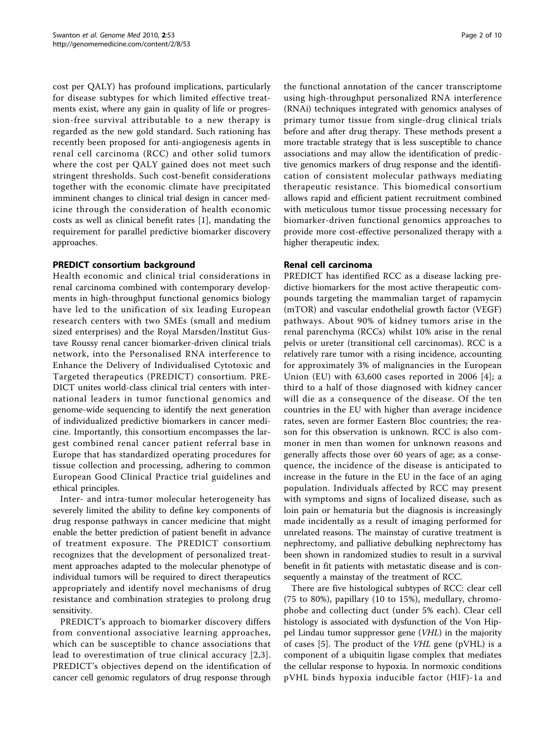cost per QALY) has profound implications, particularly for disease subtypes for which limited effective treatments exist, where any gain in quality of life or progression-free survival attributable to a new therapy is regarded as the new gold standard. Such rationing has recently been proposed for anti-angiogenesis agents in renal cell carcinoma (RCC) and other solid tumors where the cost per QALY gained does not meet such stringent thresholds. Such cost-benefit considerations together with the economic climate have precipitated imminent changes to clinical trial design in cancer medicine through the consideration of health economic costs as well as clinical benefit rates [[1\]](#page-8-0), mandating the requirement for parallel predictive biomarker discovery approaches.

## PREDICT consortium background

Health economic and clinical trial considerations in renal carcinoma combined with contemporary developments in high-throughput functional genomics biology have led to the unification of six leading European research centers with two SMEs (small and medium sized enterprises) and the Royal Marsden/Institut Gustave Roussy renal cancer biomarker-driven clinical trials network, into the Personalised RNA interference to Enhance the Delivery of Individualised Cytotoxic and Targeted therapeutics (PREDICT) consortium. PRE-DICT unites world-class clinical trial centers with international leaders in tumor functional genomics and genome-wide sequencing to identify the next generation of individualized predictive biomarkers in cancer medicine. Importantly, this consortium encompasses the largest combined renal cancer patient referral base in Europe that has standardized operating procedures for tissue collection and processing, adhering to common European Good Clinical Practice trial guidelines and ethical principles.

Inter- and intra-tumor molecular heterogeneity has severely limited the ability to define key components of drug response pathways in cancer medicine that might enable the better prediction of patient benefit in advance of treatment exposure. The PREDICT consortium recognizes that the development of personalized treatment approaches adapted to the molecular phenotype of individual tumors will be required to direct therapeutics appropriately and identify novel mechanisms of drug resistance and combination strategies to prolong drug sensitivity.

PREDICT's approach to biomarker discovery differs from conventional associative learning approaches, which can be susceptible to chance associations that lead to overestimation of true clinical accuracy [[2](#page-8-0),[3\]](#page-8-0). PREDICT's objectives depend on the identification of cancer cell genomic regulators of drug response through

the functional annotation of the cancer transcriptome using high-throughput personalized RNA interference (RNAi) techniques integrated with genomics analyses of primary tumor tissue from single-drug clinical trials before and after drug therapy. These methods present a more tractable strategy that is less susceptible to chance associations and may allow the identification of predictive genomics markers of drug response and the identification of consistent molecular pathways mediating therapeutic resistance. This biomedical consortium allows rapid and efficient patient recruitment combined with meticulous tumor tissue processing necessary for biomarker-driven functional genomics approaches to provide more cost-effective personalized therapy with a higher therapeutic index.

## Renal cell carcinoma

PREDICT has identified RCC as a disease lacking predictive biomarkers for the most active therapeutic compounds targeting the mammalian target of rapamycin (mTOR) and vascular endothelial growth factor (VEGF) pathways. About 90% of kidney tumors arise in the renal parenchyma (RCCs) whilst 10% arise in the renal pelvis or ureter (transitional cell carcinomas). RCC is a relatively rare tumor with a rising incidence, accounting for approximately 3% of malignancies in the European Union (EU) with 63,600 cases reported in 2006 [[4\]](#page-8-0); a third to a half of those diagnosed with kidney cancer will die as a consequence of the disease. Of the ten countries in the EU with higher than average incidence rates, seven are former Eastern Bloc countries; the reason for this observation is unknown. RCC is also commoner in men than women for unknown reasons and generally affects those over 60 years of age; as a consequence, the incidence of the disease is anticipated to increase in the future in the EU in the face of an aging population. Individuals affected by RCC may present with symptoms and signs of localized disease, such as loin pain or hematuria but the diagnosis is increasingly made incidentally as a result of imaging performed for unrelated reasons. The mainstay of curative treatment is nephrectomy, and palliative debulking nephrectomy has been shown in randomized studies to result in a survival benefit in fit patients with metastatic disease and is consequently a mainstay of the treatment of RCC.

There are five histological subtypes of RCC: clear cell (75 to 80%), papillary (10 to 15%), medullary, chromophobe and collecting duct (under 5% each). Clear cell histology is associated with dysfunction of the Von Hippel Lindau tumor suppressor gene (VHL) in the majority of cases [\[5](#page-8-0)]. The product of the VHL gene (pVHL) is a component of a ubiquitin ligase complex that mediates the cellular response to hypoxia. In normoxic conditions pVHL binds hypoxia inducible factor (HIF)-1a and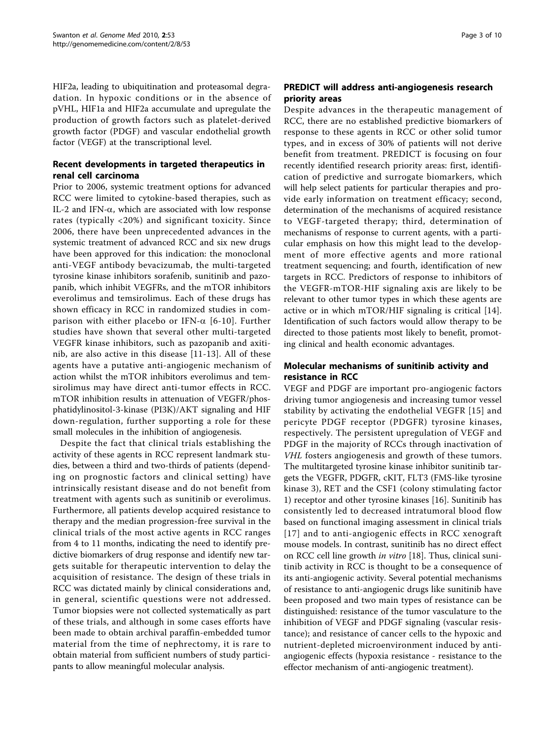HIF2a, leading to ubiquitination and proteasomal degradation. In hypoxic conditions or in the absence of pVHL, HIF1a and HIF2a accumulate and upregulate the production of growth factors such as platelet-derived growth factor (PDGF) and vascular endothelial growth factor (VEGF) at the transcriptional level.

# Recent developments in targeted therapeutics in renal cell carcinoma

Prior to 2006, systemic treatment options for advanced RCC were limited to cytokine-based therapies, such as IL-2 and IFN- $\alpha$ , which are associated with low response rates (typically <20%) and significant toxicity. Since 2006, there have been unprecedented advances in the systemic treatment of advanced RCC and six new drugs have been approved for this indication: the monoclonal anti-VEGF antibody bevacizumab, the multi-targeted tyrosine kinase inhibitors sorafenib, sunitinib and pazopanib, which inhibit VEGFRs, and the mTOR inhibitors everolimus and temsirolimus. Each of these drugs has shown efficacy in RCC in randomized studies in comparison with either placebo or IFN- $\alpha$  [[6](#page-8-0)-[10](#page-8-0)]. Further studies have shown that several other multi-targeted VEGFR kinase inhibitors, such as pazopanib and axitinib, are also active in this disease [[11-13\]](#page-8-0). All of these agents have a putative anti-angiogenic mechanism of action whilst the mTOR inhibitors everolimus and temsirolimus may have direct anti-tumor effects in RCC. mTOR inhibition results in attenuation of VEGFR/phosphatidylinositol-3-kinase (PI3K)/AKT signaling and HIF down-regulation, further supporting a role for these small molecules in the inhibition of angiogenesis.

Despite the fact that clinical trials establishing the activity of these agents in RCC represent landmark studies, between a third and two-thirds of patients (depending on prognostic factors and clinical setting) have intrinsically resistant disease and do not benefit from treatment with agents such as sunitinib or everolimus. Furthermore, all patients develop acquired resistance to therapy and the median progression-free survival in the clinical trials of the most active agents in RCC ranges from 4 to 11 months, indicating the need to identify predictive biomarkers of drug response and identify new targets suitable for therapeutic intervention to delay the acquisition of resistance. The design of these trials in RCC was dictated mainly by clinical considerations and, in general, scientific questions were not addressed. Tumor biopsies were not collected systematically as part of these trials, and although in some cases efforts have been made to obtain archival paraffin-embedded tumor material from the time of nephrectomy, it is rare to obtain material from sufficient numbers of study participants to allow meaningful molecular analysis.

# PREDICT will address anti-angiogenesis research priority areas

Despite advances in the therapeutic management of RCC, there are no established predictive biomarkers of response to these agents in RCC or other solid tumor types, and in excess of 30% of patients will not derive benefit from treatment. PREDICT is focusing on four recently identified research priority areas: first, identification of predictive and surrogate biomarkers, which will help select patients for particular therapies and provide early information on treatment efficacy; second, determination of the mechanisms of acquired resistance to VEGF-targeted therapy; third, determination of mechanisms of response to current agents, with a particular emphasis on how this might lead to the development of more effective agents and more rational treatment sequencing; and fourth, identification of new targets in RCC. Predictors of response to inhibitors of the VEGFR-mTOR-HIF signaling axis are likely to be relevant to other tumor types in which these agents are active or in which mTOR/HIF signaling is critical [[14](#page-8-0)]. Identification of such factors would allow therapy to be directed to those patients most likely to benefit, promoting clinical and health economic advantages.

# Molecular mechanisms of sunitinib activity and resistance in RCC

VEGF and PDGF are important pro-angiogenic factors driving tumor angiogenesis and increasing tumor vessel stability by activating the endothelial VEGFR [[15\]](#page-8-0) and pericyte PDGF receptor (PDGFR) tyrosine kinases, respectively. The persistent upregulation of VEGF and PDGF in the majority of RCCs through inactivation of VHL fosters angiogenesis and growth of these tumors. The multitargeted tyrosine kinase inhibitor sunitinib targets the VEGFR, PDGFR, cKIT, FLT3 (FMS-like tyrosine kinase 3), RET and the CSF1 (colony stimulating factor 1) receptor and other tyrosine kinases [[16\]](#page-8-0). Sunitinib has consistently led to decreased intratumoral blood flow based on functional imaging assessment in clinical trials [[17\]](#page-8-0) and to anti-angiogenic effects in RCC xenograft mouse models. In contrast, sunitinib has no direct effect on RCC cell line growth in vitro [\[18\]](#page-8-0). Thus, clinical sunitinib activity in RCC is thought to be a consequence of its anti-angiogenic activity. Several potential mechanisms of resistance to anti-angiogenic drugs like sunitinib have been proposed and two main types of resistance can be distinguished: resistance of the tumor vasculature to the inhibition of VEGF and PDGF signaling (vascular resistance); and resistance of cancer cells to the hypoxic and nutrient-depleted microenvironment induced by antiangiogenic effects (hypoxia resistance - resistance to the effector mechanism of anti-angiogenic treatment).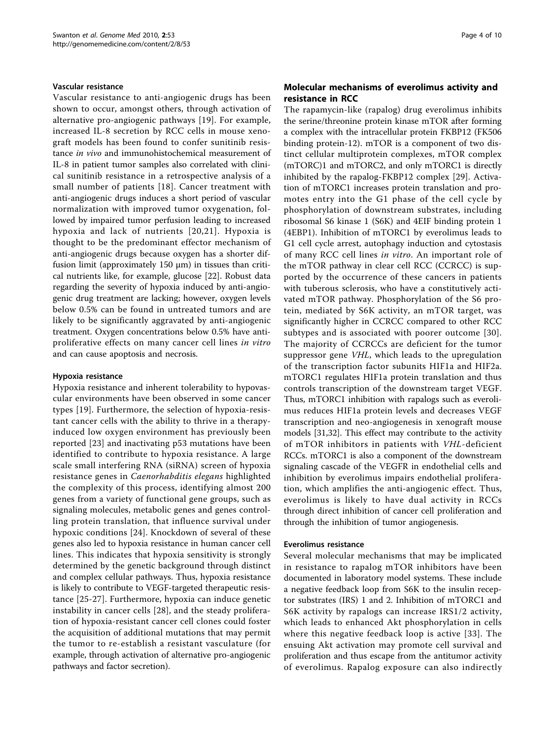#### Vascular resistance

Vascular resistance to anti-angiogenic drugs has been shown to occur, amongst others, through activation of alternative pro-angiogenic pathways [[19\]](#page-8-0). For example, increased IL-8 secretion by RCC cells in mouse xenograft models has been found to confer sunitinib resistance in vivo and immunohistochemical measurement of IL-8 in patient tumor samples also correlated with clinical sunitinib resistance in a retrospective analysis of a small number of patients [[18](#page-8-0)]. Cancer treatment with anti-angiogenic drugs induces a short period of vascular normalization with improved tumor oxygenation, followed by impaired tumor perfusion leading to increased hypoxia and lack of nutrients [[20,21\]](#page-8-0). Hypoxia is thought to be the predominant effector mechanism of anti-angiogenic drugs because oxygen has a shorter diffusion limit (approximately 150 μm) in tissues than critical nutrients like, for example, glucose [[22\]](#page-8-0). Robust data regarding the severity of hypoxia induced by anti-angiogenic drug treatment are lacking; however, oxygen levels below 0.5% can be found in untreated tumors and are likely to be significantly aggravated by anti-angiogenic treatment. Oxygen concentrations below 0.5% have antiproliferative effects on many cancer cell lines in vitro and can cause apoptosis and necrosis.

#### Hypoxia resistance

Hypoxia resistance and inherent tolerability to hypovascular environments have been observed in some cancer types [[19](#page-8-0)]. Furthermore, the selection of hypoxia-resistant cancer cells with the ability to thrive in a therapyinduced low oxygen environment has previously been reported [[23\]](#page-8-0) and inactivating p53 mutations have been identified to contribute to hypoxia resistance. A large scale small interfering RNA (siRNA) screen of hypoxia resistance genes in Caenorhabditis elegans highlighted the complexity of this process, identifying almost 200 genes from a variety of functional gene groups, such as signaling molecules, metabolic genes and genes controlling protein translation, that influence survival under hypoxic conditions [[24](#page-8-0)]. Knockdown of several of these genes also led to hypoxia resistance in human cancer cell lines. This indicates that hypoxia sensitivity is strongly determined by the genetic background through distinct and complex cellular pathways. Thus, hypoxia resistance is likely to contribute to VEGF-targeted therapeutic resistance [\[25-27](#page-8-0)]. Furthermore, hypoxia can induce genetic instability in cancer cells [[28](#page-8-0)], and the steady proliferation of hypoxia-resistant cancer cell clones could foster the acquisition of additional mutations that may permit the tumor to re-establish a resistant vasculature (for example, through activation of alternative pro-angiogenic pathways and factor secretion).

## Molecular mechanisms of everolimus activity and resistance in RCC

The rapamycin-like (rapalog) drug everolimus inhibits the serine/threonine protein kinase mTOR after forming a complex with the intracellular protein FKBP12 (FK506 binding protein-12). mTOR is a component of two distinct cellular multiprotein complexes, mTOR complex (mTORC)1 and mTORC2, and only mTORC1 is directly inhibited by the rapalog-FKBP12 complex [\[29](#page-8-0)]. Activation of mTORC1 increases protein translation and promotes entry into the G1 phase of the cell cycle by phosphorylation of downstream substrates, including ribosomal S6 kinase 1 (S6K) and 4EIF binding protein 1 (4EBP1). Inhibition of mTORC1 by everolimus leads to G1 cell cycle arrest, autophagy induction and cytostasis of many RCC cell lines in vitro. An important role of the mTOR pathway in clear cell RCC (CCRCC) is supported by the occurrence of these cancers in patients with tuberous sclerosis, who have a constitutively activated mTOR pathway. Phosphorylation of the S6 protein, mediated by S6K activity, an mTOR target, was significantly higher in CCRCC compared to other RCC subtypes and is associated with poorer outcome [[30\]](#page-8-0). The majority of CCRCCs are deficient for the tumor suppressor gene VHL, which leads to the upregulation of the transcription factor subunits HIF1a and HIF2a. mTORC1 regulates HIF1a protein translation and thus controls transcription of the downstream target VEGF. Thus, mTORC1 inhibition with rapalogs such as everolimus reduces HIF1a protein levels and decreases VEGF transcription and neo-angiogenesis in xenograft mouse models [\[31,32\]](#page-8-0). This effect may contribute to the activity of mTOR inhibitors in patients with VHL-deficient RCCs. mTORC1 is also a component of the downstream signaling cascade of the VEGFR in endothelial cells and inhibition by everolimus impairs endothelial proliferation, which amplifies the anti-angiogenic effect. Thus, everolimus is likely to have dual activity in RCCs through direct inhibition of cancer cell proliferation and through the inhibition of tumor angiogenesis.

#### Everolimus resistance

Several molecular mechanisms that may be implicated in resistance to rapalog mTOR inhibitors have been documented in laboratory model systems. These include a negative feedback loop from S6K to the insulin receptor substrates (IRS) 1 and 2. Inhibition of mTORC1 and S6K activity by rapalogs can increase IRS1/2 activity, which leads to enhanced Akt phosphorylation in cells where this negative feedback loop is active [[33](#page-8-0)]. The ensuing Akt activation may promote cell survival and proliferation and thus escape from the antitumor activity of everolimus. Rapalog exposure can also indirectly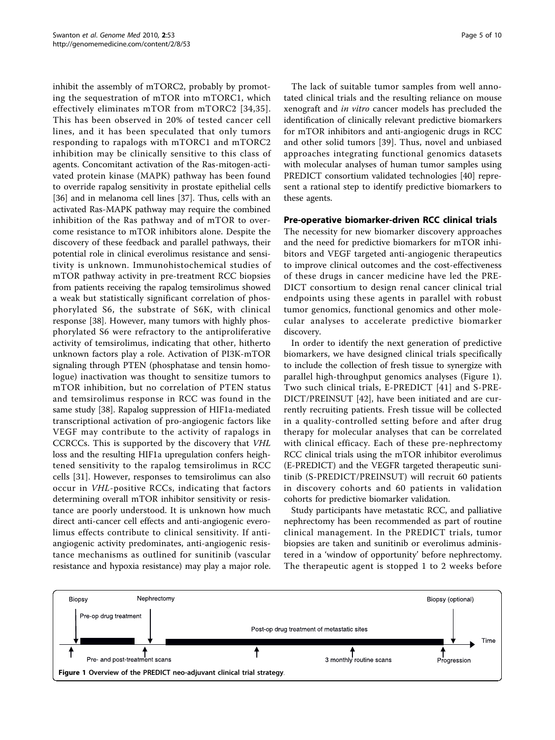inhibit the assembly of mTORC2, probably by promoting the sequestration of mTOR into mTORC1, which effectively eliminates mTOR from mTORC2 [[34,35\]](#page-8-0). This has been observed in 20% of tested cancer cell lines, and it has been speculated that only tumors responding to rapalogs with mTORC1 and mTORC2 inhibition may be clinically sensitive to this class of agents. Concomitant activation of the Ras-mitogen-activated protein kinase (MAPK) pathway has been found to override rapalog sensitivity in prostate epithelial cells [[36\]](#page-8-0) and in melanoma cell lines [[37\]](#page-8-0). Thus, cells with an activated Ras-MAPK pathway may require the combined inhibition of the Ras pathway and of mTOR to overcome resistance to mTOR inhibitors alone. Despite the discovery of these feedback and parallel pathways, their potential role in clinical everolimus resistance and sensitivity is unknown. Immunohistochemical studies of mTOR pathway activity in pre-treatment RCC biopsies from patients receiving the rapalog temsirolimus showed a weak but statistically significant correlation of phosphorylated S6, the substrate of S6K, with clinical response [\[38\]](#page-8-0). However, many tumors with highly phosphorylated S6 were refractory to the antiproliferative activity of temsirolimus, indicating that other, hitherto unknown factors play a role. Activation of PI3K-mTOR signaling through PTEN (phosphatase and tensin homologue) inactivation was thought to sensitize tumors to mTOR inhibition, but no correlation of PTEN status and temsirolimus response in RCC was found in the same study [[38](#page-8-0)]. Rapalog suppression of HIF1a-mediated transcriptional activation of pro-angiogenic factors like VEGF may contribute to the activity of rapalogs in CCRCCs. This is supported by the discovery that VHL loss and the resulting HIF1a upregulation confers heightened sensitivity to the rapalog temsirolimus in RCC cells [[31\]](#page-8-0). However, responses to temsirolimus can also occur in VHL-positive RCCs, indicating that factors determining overall mTOR inhibitor sensitivity or resistance are poorly understood. It is unknown how much direct anti-cancer cell effects and anti-angiogenic everolimus effects contribute to clinical sensitivity. If antiangiogenic activity predominates, anti-angiogenic resistance mechanisms as outlined for sunitinib (vascular resistance and hypoxia resistance) may play a major role.

The lack of suitable tumor samples from well annotated clinical trials and the resulting reliance on mouse xenograft and in vitro cancer models has precluded the identification of clinically relevant predictive biomarkers for mTOR inhibitors and anti-angiogenic drugs in RCC and other solid tumors [[39\]](#page-9-0). Thus, novel and unbiased approaches integrating functional genomics datasets with molecular analyses of human tumor samples using PREDICT consortium validated technologies [[40\]](#page-9-0) represent a rational step to identify predictive biomarkers to these agents.

## Pre-operative biomarker-driven RCC clinical trials

The necessity for new biomarker discovery approaches and the need for predictive biomarkers for mTOR inhibitors and VEGF targeted anti-angiogenic therapeutics to improve clinical outcomes and the cost-effectiveness of these drugs in cancer medicine have led the PRE-DICT consortium to design renal cancer clinical trial endpoints using these agents in parallel with robust tumor genomics, functional genomics and other molecular analyses to accelerate predictive biomarker discovery.

In order to identify the next generation of predictive biomarkers, we have designed clinical trials specifically to include the collection of fresh tissue to synergize with parallel high-throughput genomics analyses (Figure 1). Two such clinical trials, E-PREDICT [[41\]](#page-9-0) and S-PRE-DICT/PREINSUT [[42\]](#page-9-0), have been initiated and are currently recruiting patients. Fresh tissue will be collected in a quality-controlled setting before and after drug therapy for molecular analyses that can be correlated with clinical efficacy. Each of these pre-nephrectomy RCC clinical trials using the mTOR inhibitor everolimus (E-PREDICT) and the VEGFR targeted therapeutic sunitinib (S-PREDICT/PREINSUT) will recruit 60 patients in discovery cohorts and 60 patients in validation cohorts for predictive biomarker validation.

Study participants have metastatic RCC, and palliative nephrectomy has been recommended as part of routine clinical management. In the PREDICT trials, tumor biopsies are taken and sunitinib or everolimus administered in a 'window of opportunity' before nephrectomy. The therapeutic agent is stopped 1 to 2 weeks before

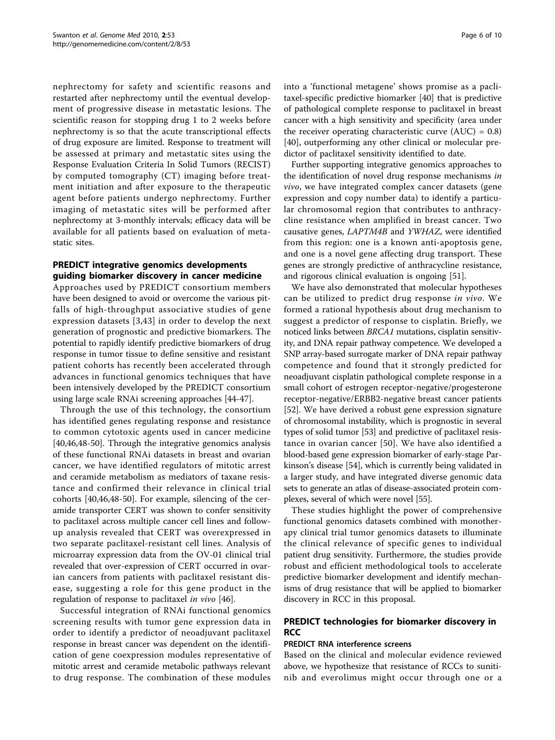nephrectomy for safety and scientific reasons and restarted after nephrectomy until the eventual development of progressive disease in metastatic lesions. The scientific reason for stopping drug 1 to 2 weeks before nephrectomy is so that the acute transcriptional effects of drug exposure are limited. Response to treatment will be assessed at primary and metastatic sites using the Response Evaluation Criteria In Solid Tumors (RECIST) by computed tomography (CT) imaging before treatment initiation and after exposure to the therapeutic agent before patients undergo nephrectomy. Further imaging of metastatic sites will be performed after nephrectomy at 3-monthly intervals; efficacy data will be available for all patients based on evaluation of metastatic sites.

# PREDICT integrative genomics developments guiding biomarker discovery in cancer medicine

Approaches used by PREDICT consortium members have been designed to avoid or overcome the various pitfalls of high-throughput associative studies of gene expression datasets [[3,](#page-8-0)[43\]](#page-9-0) in order to develop the next generation of prognostic and predictive biomarkers. The potential to rapidly identify predictive biomarkers of drug response in tumor tissue to define sensitive and resistant patient cohorts has recently been accelerated through advances in functional genomics techniques that have been intensively developed by the PREDICT consortium using large scale RNAi screening approaches [\[44-47](#page-9-0)].

Through the use of this technology, the consortium has identified genes regulating response and resistance to common cytotoxic agents used in cancer medicine [[40,46,48-50\]](#page-9-0). Through the integrative genomics analysis of these functional RNAi datasets in breast and ovarian cancer, we have identified regulators of mitotic arrest and ceramide metabolism as mediators of taxane resistance and confirmed their relevance in clinical trial cohorts [[40,46,48-50\]](#page-9-0). For example, silencing of the ceramide transporter CERT was shown to confer sensitivity to paclitaxel across multiple cancer cell lines and followup analysis revealed that CERT was overexpressed in two separate paclitaxel-resistant cell lines. Analysis of microarray expression data from the OV-01 clinical trial revealed that over-expression of CERT occurred in ovarian cancers from patients with paclitaxel resistant disease, suggesting a role for this gene product in the regulation of response to paclitaxel in vivo [[46\]](#page-9-0).

Successful integration of RNAi functional genomics screening results with tumor gene expression data in order to identify a predictor of neoadjuvant paclitaxel response in breast cancer was dependent on the identification of gene coexpression modules representative of mitotic arrest and ceramide metabolic pathways relevant to drug response. The combination of these modules into a 'functional metagene' shows promise as a paclitaxel-specific predictive biomarker [\[40\]](#page-9-0) that is predictive of pathological complete response to paclitaxel in breast cancer with a high sensitivity and specificity (area under the receiver operating characteristic curve  $(AUC) = 0.8$ ) [[40\]](#page-9-0), outperforming any other clinical or molecular predictor of paclitaxel sensitivity identified to date.

Further supporting integrative genomics approaches to the identification of novel drug response mechanisms in vivo, we have integrated complex cancer datasets (gene expression and copy number data) to identify a particular chromosomal region that contributes to anthracycline resistance when amplified in breast cancer. Two causative genes, LAPTM4B and YWHAZ, were identified from this region: one is a known anti-apoptosis gene, and one is a novel gene affecting drug transport. These genes are strongly predictive of anthracycline resistance, and rigorous clinical evaluation is ongoing [[51](#page-9-0)].

We have also demonstrated that molecular hypotheses can be utilized to predict drug response in vivo. We formed a rational hypothesis about drug mechanism to suggest a predictor of response to cisplatin. Briefly, we noticed links between BRCA1 mutations, cisplatin sensitivity, and DNA repair pathway competence. We developed a SNP array-based surrogate marker of DNA repair pathway competence and found that it strongly predicted for neoadjuvant cisplatin pathological complete response in a small cohort of estrogen receptor-negative/progesterone receptor-negative/ERBB2-negative breast cancer patients [[52\]](#page-9-0). We have derived a robust gene expression signature of chromosomal instability, which is prognostic in several types of solid tumor [\[53\]](#page-9-0) and predictive of paclitaxel resistance in ovarian cancer [\[50\]](#page-9-0). We have also identified a blood-based gene expression biomarker of early-stage Parkinson's disease [\[54\]](#page-9-0), which is currently being validated in a larger study, and have integrated diverse genomic data sets to generate an atlas of disease-associated protein complexes, several of which were novel [\[55\]](#page-9-0).

These studies highlight the power of comprehensive functional genomics datasets combined with monotherapy clinical trial tumor genomics datasets to illuminate the clinical relevance of specific genes to individual patient drug sensitivity. Furthermore, the studies provide robust and efficient methodological tools to accelerate predictive biomarker development and identify mechanisms of drug resistance that will be applied to biomarker discovery in RCC in this proposal.

## PREDICT technologies for biomarker discovery in **RCC**

## PREDICT RNA interference screens

Based on the clinical and molecular evidence reviewed above, we hypothesize that resistance of RCCs to sunitinib and everolimus might occur through one or a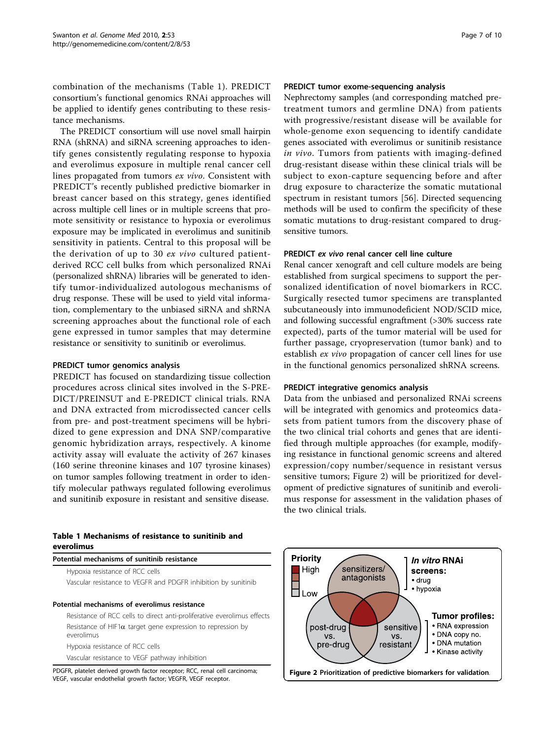<span id="page-6-0"></span>combination of the mechanisms (Table 1). PREDICT consortium's functional genomics RNAi approaches will be applied to identify genes contributing to these resistance mechanisms.

The PREDICT consortium will use novel small hairpin RNA (shRNA) and siRNA screening approaches to identify genes consistently regulating response to hypoxia and everolimus exposure in multiple renal cancer cell lines propagated from tumors ex vivo. Consistent with PREDICT's recently published predictive biomarker in breast cancer based on this strategy, genes identified across multiple cell lines or in multiple screens that promote sensitivity or resistance to hypoxia or everolimus exposure may be implicated in everolimus and sunitinib sensitivity in patients. Central to this proposal will be the derivation of up to 30 ex vivo cultured patientderived RCC cell bulks from which personalized RNAi (personalized shRNA) libraries will be generated to identify tumor-individualized autologous mechanisms of drug response. These will be used to yield vital information, complementary to the unbiased siRNA and shRNA screening approaches about the functional role of each gene expressed in tumor samples that may determine resistance or sensitivity to sunitinib or everolimus.

#### PREDICT tumor genomics analysis

PREDICT has focused on standardizing tissue collection procedures across clinical sites involved in the S-PRE-DICT/PREINSUT and E-PREDICT clinical trials. RNA and DNA extracted from microdissected cancer cells from pre- and post-treatment specimens will be hybridized to gene expression and DNA SNP/comparative genomic hybridization arrays, respectively. A kinome activity assay will evaluate the activity of 267 kinases (160 serine threonine kinases and 107 tyrosine kinases) on tumor samples following treatment in order to identify molecular pathways regulated following everolimus and sunitinib exposure in resistant and sensitive disease.

## Table 1 Mechanisms of resistance to sunitinib and everolimus



#### PREDICT tumor exome-sequencing analysis

Nephrectomy samples (and corresponding matched pretreatment tumors and germline DNA) from patients with progressive/resistant disease will be available for whole-genome exon sequencing to identify candidate genes associated with everolimus or sunitinib resistance in vivo. Tumors from patients with imaging-defined drug-resistant disease within these clinical trials will be subject to exon-capture sequencing before and after drug exposure to characterize the somatic mutational spectrum in resistant tumors [[56\]](#page-9-0). Directed sequencing methods will be used to confirm the specificity of these somatic mutations to drug-resistant compared to drugsensitive tumors.

#### PREDICT ex vivo renal cancer cell line culture

Renal cancer xenograft and cell culture models are being established from surgical specimens to support the personalized identification of novel biomarkers in RCC. Surgically resected tumor specimens are transplanted subcutaneously into immunodeficient NOD/SCID mice, and following successful engraftment (>30% success rate expected), parts of the tumor material will be used for further passage, cryopreservation (tumor bank) and to establish *ex vivo* propagation of cancer cell lines for use in the functional genomics personalized shRNA screens.

## PREDICT integrative genomics analysis

Data from the unbiased and personalized RNAi screens will be integrated with genomics and proteomics datasets from patient tumors from the discovery phase of the two clinical trial cohorts and genes that are identified through multiple approaches (for example, modifying resistance in functional genomic screens and altered expression/copy number/sequence in resistant versus sensitive tumors; Figure 2) will be prioritized for development of predictive signatures of sunitinib and everolimus response for assessment in the validation phases of the two clinical trials.

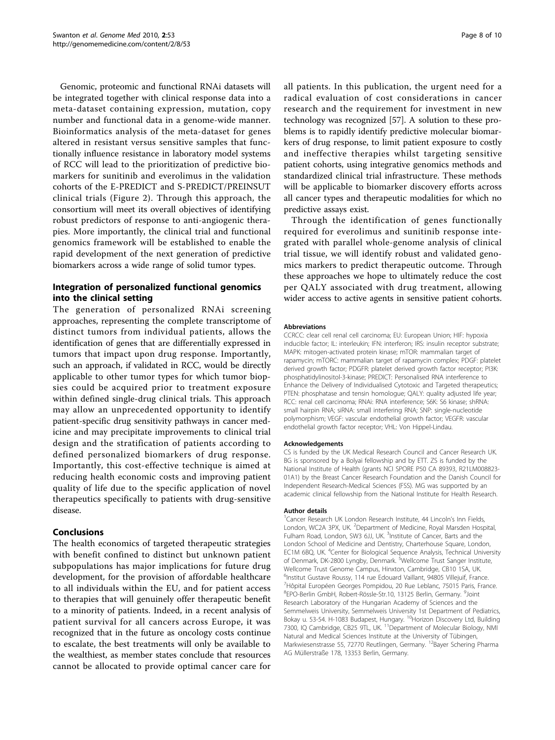Genomic, proteomic and functional RNAi datasets will be integrated together with clinical response data into a meta-dataset containing expression, mutation, copy number and functional data in a genome-wide manner. Bioinformatics analysis of the meta-dataset for genes altered in resistant versus sensitive samples that functionally influence resistance in laboratory model systems of RCC will lead to the prioritization of predictive biomarkers for sunitinib and everolimus in the validation cohorts of the E-PREDICT and S-PREDICT/PREINSUT clinical trials (Figure [2](#page-6-0)). Through this approach, the consortium will meet its overall objectives of identifying robust predictors of response to anti-angiogenic therapies. More importantly, the clinical trial and functional genomics framework will be established to enable the rapid development of the next generation of predictive biomarkers across a wide range of solid tumor types.

# Integration of personalized functional genomics into the clinical setting

The generation of personalized RNAi screening approaches, representing the complete transcriptome of distinct tumors from individual patients, allows the identification of genes that are differentially expressed in tumors that impact upon drug response. Importantly, such an approach, if validated in RCC, would be directly applicable to other tumor types for which tumor biopsies could be acquired prior to treatment exposure within defined single-drug clinical trials. This approach may allow an unprecedented opportunity to identify patient-specific drug sensitivity pathways in cancer medicine and may precipitate improvements to clinical trial design and the stratification of patients according to defined personalized biomarkers of drug response. Importantly, this cost-effective technique is aimed at reducing health economic costs and improving patient quality of life due to the specific application of novel therapeutics specifically to patients with drug-sensitive disease.

## Conclusions

The health economics of targeted therapeutic strategies with benefit confined to distinct but unknown patient subpopulations has major implications for future drug development, for the provision of affordable healthcare to all individuals within the EU, and for patient access to therapies that will genuinely offer therapeutic benefit to a minority of patients. Indeed, in a recent analysis of patient survival for all cancers across Europe, it was recognized that in the future as oncology costs continue to escalate, the best treatments will only be available to the wealthiest, as member states conclude that resources cannot be allocated to provide optimal cancer care for

all patients. In this publication, the urgent need for a radical evaluation of cost considerations in cancer research and the requirement for investment in new technology was recognized [[57\]](#page-9-0). A solution to these problems is to rapidly identify predictive molecular biomarkers of drug response, to limit patient exposure to costly and ineffective therapies whilst targeting sensitive patient cohorts, using integrative genomics methods and standardized clinical trial infrastructure. These methods will be applicable to biomarker discovery efforts across all cancer types and therapeutic modalities for which no predictive assays exist.

Through the identification of genes functionally required for everolimus and sunitinib response integrated with parallel whole-genome analysis of clinical trial tissue, we will identify robust and validated genomics markers to predict therapeutic outcome. Through these approaches we hope to ultimately reduce the cost per QALY associated with drug treatment, allowing wider access to active agents in sensitive patient cohorts.

#### **Abbreviations**

CCRCC: clear cell renal cell carcinoma; EU: European Union; HIF: hypoxia inducible factor; IL: interleukin; IFN: interferon; IRS: insulin receptor substrate; MAPK: mitogen-activated protein kinase; mTOR: mammalian target of rapamycin; mTORC: mammalian target of rapamycin complex; PDGF: platelet derived growth factor; PDGFR: platelet derived growth factor receptor; PI3K: phosphatidylinositol-3-kinase; PREDICT: Personalised RNA interference to Enhance the Delivery of Individualised Cytotoxic and Targeted therapeutics; PTEN: phosphatase and tensin homologue; QALY: quality adjusted life year; RCC: renal cell carcinoma; RNAi: RNA interference; S6K: S6 kinase; shRNA: small hairpin RNA; siRNA: small interfering RNA; SNP: single-nucleotide polymorphism; VEGF: vascular endothelial growth factor; VEGFR: vascular endothelial growth factor receptor; VHL: Von Hippel-Lindau.

#### Acknowledgements

CS is funded by the UK Medical Research Council and Cancer Research UK. BG is sponsored by a Bolyai fellowship and by ETT. ZS is funded by the National Institute of Health (grants NCI SPORE P50 CA 89393, R21LM008823- 01A1) by the Breast Cancer Research Foundation and the Danish Council for Independent Research-Medical Sciences (FSS). MG was supported by an academic clinical fellowship from the National Institute for Health Research.

#### Author details

<sup>1</sup> Cancer Research UK London Research Institute, 44 Lincoln's Inn Fields, London, WC2A 3PX, UK. <sup>2</sup>Department of Medicine, Royal Marsden Hospital Fulham Road, London, SW3 6JJ, UK. <sup>3</sup>Institute of Cancer, Barts and the London School of Medicine and Dentistry, Charterhouse Square, London, EC1M 6BQ, UK. <sup>4</sup>Center for Biological Sequence Analysis, Technical University of Denmark, DK-2800 Lyngby, Denmark. <sup>5</sup>Wellcome Trust Sanger Institute, Wellcome Trust Genome Campus, Hinxton, Cambridge, CB10 1SA, UK. <sup>6</sup>Institut Gustave Roussy, 114 rue Edouard Vaillant, 94805 Villejuif, France <sup>7</sup>Hôpital Européen Georges Pompidou, 20 Rue Leblanc, 75015 Paris, France <sup>8</sup>EPO-Berlin GmbH, Robert-Rössle-Str.10, 13125 Berlin, Germany. <sup>9</sup>Joint Research Laboratory of the Hungarian Academy of Sciences and the Semmelweis University, Semmelweis University 1st Department of Pediatrics, Bokay u. 53-54. H-1083 Budapest, Hungary. <sup>10</sup>Horizon Discovery Ltd, Building 7300, IQ Cambridge, CB25 9TL, UK. <sup>11</sup>Department of Molecular Biology, NMI Natural and Medical Sciences Institute at the University of Tübingen, Markwiesenstrasse 55, 72770 Reutlingen, Germany. <sup>12</sup>Bayer Schering Pharma AG Müllerstraße 178, 13353 Berlin, Germany.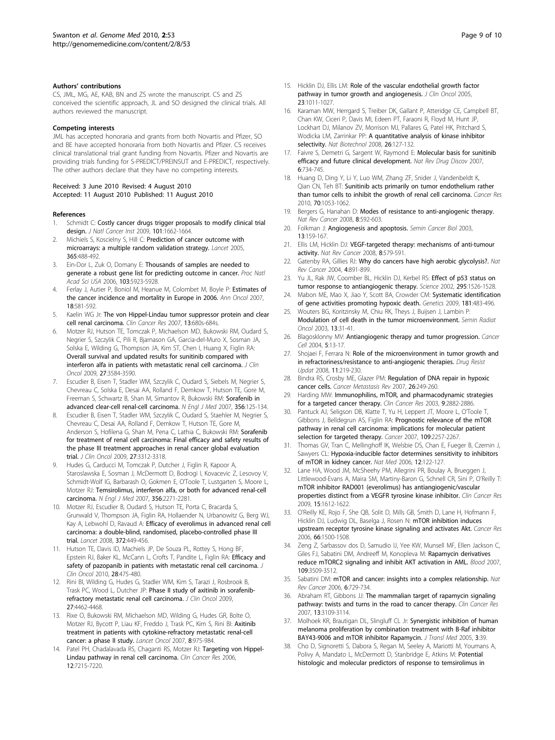#### <span id="page-8-0"></span>Authors' contributions

CS, JML, MG, AE, KAB, BN and ZS wrote the manuscript. CS and ZS conceived the scientific approach, JL and SO designed the clinical trials. All authors reviewed the manuscript.

#### Competing interests

JML has accepted honoraria and grants from both Novartis and Pfizer, SO and BE have accepted honoraria from both Novartis and Pfizer. CS receives clinical translational trial grant funding from Novartis. Pfizer and Novartis are providing trials funding for S-PREDICT/PREINSUT and E-PREDICT, respectively. The other authors declare that they have no competing interests.

## Received: 3 June 2010 Revised: 4 August 2010

Accepted: 11 August 2010 Published: 11 August 2010

#### References

- 1. Schmidt C: [Costly cancer drugs trigger proposals to modify clinical trial](http://www.ncbi.nlm.nih.gov/pubmed/19933943?dopt=Abstract) [design.](http://www.ncbi.nlm.nih.gov/pubmed/19933943?dopt=Abstract) J Natl Cancer Inst 2009, 101:1662-1664.
- Michiels S, Koscielny S, Hill C: [Prediction of cancer outcome with](http://www.ncbi.nlm.nih.gov/pubmed/15705458?dopt=Abstract) [microarrays: a multiple random validation strategy.](http://www.ncbi.nlm.nih.gov/pubmed/15705458?dopt=Abstract) Lancet 2005, 365:488-492.
- 3. Ein-Dor L, Zuk O, Domany E: [Thousands of samples are needed to](http://www.ncbi.nlm.nih.gov/pubmed/16585533?dopt=Abstract) [generate a robust gene list for predicting outcome in cancer.](http://www.ncbi.nlm.nih.gov/pubmed/16585533?dopt=Abstract) Proc Natl Acad Sci USA 2006, 103:5923-5928.
- 4. Ferlay J, Autier P, Boniol M, Heanue M, Colombet M, Boyle P: [Estimates of](http://www.ncbi.nlm.nih.gov/pubmed/17287242?dopt=Abstract) [the cancer incidence and mortality in Europe in 2006.](http://www.ncbi.nlm.nih.gov/pubmed/17287242?dopt=Abstract) Ann Oncol 2007, 18:581-592.
- 5. Kaelin WG Jr: [The von Hippel-Lindau tumor suppressor protein and clear](http://www.ncbi.nlm.nih.gov/pubmed/17255293?dopt=Abstract) [cell renal carcinoma.](http://www.ncbi.nlm.nih.gov/pubmed/17255293?dopt=Abstract) Clin Cancer Res 2007, 13:680s-684s.
- 6. Motzer RJ, Hutson TE, Tomczak P, Michaelson MD, Bukowski RM, Oudard S, Negrier S, Szczylik C, Pili R, Bjarnason GA, Garcia-del-Muro X, Sosman JA, Solska E, Wilding G, Thompson JA, Kim ST, Chen I, Huang X, Figlin RA: [Overall survival and updated results for sunitinib compared with](http://www.ncbi.nlm.nih.gov/pubmed/19487381?dopt=Abstract) [interferon alfa in patients with metastatic renal cell carcinoma.](http://www.ncbi.nlm.nih.gov/pubmed/19487381?dopt=Abstract) J Clin Oncol 2009, 27:3584-3590.
- Escudier B, Eisen T, Stadler WM, Szczylik C, Oudard S, Siebels M, Negrier S, Chevreau C, Solska E, Desai AA, Rolland F, Demkow T, Hutson TE, Gore M, Freeman S, Schwartz B, Shan M, Simantov R, Bukowski RM: [Sorafenib in](http://www.ncbi.nlm.nih.gov/pubmed/17215530?dopt=Abstract) [advanced clear-cell renal-cell carcinoma.](http://www.ncbi.nlm.nih.gov/pubmed/17215530?dopt=Abstract) N Engl J Med 2007, 356:125-134.
- 8. Escudier B, Eisen T, Stadler WM, Szczylik C, Oudard S, Staehler M, Negrier S, Chevreau C, Desai AA, Rolland F, Demkow T, Hutson TE, Gore M, Anderson S, Hofilena G, Shan M, Pena C, Lathia C, Bukowski RM: [Sorafenib](http://www.ncbi.nlm.nih.gov/pubmed/19451442?dopt=Abstract) [for treatment of renal cell carcinoma: Final efficacy and safety results of](http://www.ncbi.nlm.nih.gov/pubmed/19451442?dopt=Abstract) [the phase III treatment approaches in renal cancer global evaluation](http://www.ncbi.nlm.nih.gov/pubmed/19451442?dopt=Abstract) [trial.](http://www.ncbi.nlm.nih.gov/pubmed/19451442?dopt=Abstract) J Clin Oncol 2009, 27:3312-3318.
- 9. Hudes G, Carducci M, Tomczak P, Dutcher J, Figlin R, Kapoor A, Staroslawska E, Sosman J, McDermott D, Bodrogi I, Kovacevic Z, Lesovoy V, Schmidt-Wolf IG, Barbarash O, Gokmen E, O'Toole T, Lustgarten S, Moore L, Motzer RJ: [Temsirolimus, interferon alfa, or both for advanced renal-cell](http://www.ncbi.nlm.nih.gov/pubmed/17538086?dopt=Abstract) [carcinoma.](http://www.ncbi.nlm.nih.gov/pubmed/17538086?dopt=Abstract) N Engl J Med 2007, 356:2271-2281.
- 10. Motzer RJ, Escudier B, Oudard S, Hutson TE, Porta C, Bracarda S, Grunwald V, Thompson JA, Figlin RA, Hollaender N, Urbanowitz G, Berg WJ, Kay A, Lebwohl D, Ravaud A: [Efficacy of everolimus in advanced renal cell](http://www.ncbi.nlm.nih.gov/pubmed/18653228?dopt=Abstract) [carcinoma: a double-blind, randomised, placebo-controlled phase III](http://www.ncbi.nlm.nih.gov/pubmed/18653228?dopt=Abstract) [trial.](http://www.ncbi.nlm.nih.gov/pubmed/18653228?dopt=Abstract) Lancet 2008, 372:449-456.
- 11. Hutson TE, Davis ID, Machiels JP, De Souza PL, Rottey S, Hong BF, Epstein RJ, Baker KL, McCann L, Crofts T, Pandite L, Figlin RA: [Efficacy and](http://www.ncbi.nlm.nih.gov/pubmed/20008644?dopt=Abstract) [safety of pazopanib in patients with metastatic renal cell carcinoma.](http://www.ncbi.nlm.nih.gov/pubmed/20008644?dopt=Abstract) J Clin Oncol 2010, 28:475-480.
- 12. Rini BI, Wilding G, Hudes G, Stadler WM, Kim S, Tarazi J, Rosbrook B, Trask PC, Wood L, Dutcher JP: [Phase II study of axitinib in sorafenib](http://www.ncbi.nlm.nih.gov/pubmed/19652060?dopt=Abstract)[refractory metastatic renal cell carcinoma.](http://www.ncbi.nlm.nih.gov/pubmed/19652060?dopt=Abstract) J Clin Oncol 2009, 27:4462-4468.
- 13. Rixe O, Bukowski RM, Michaelson MD, Wilding G, Hudes GR, Bolte O, Motzer RJ, Bycott P, Liau KF, Freddo J, Trask PC, Kim S, Rini BI: [Axitinib](http://www.ncbi.nlm.nih.gov/pubmed/17959415?dopt=Abstract) [treatment in patients with cytokine-refractory metastatic renal-cell](http://www.ncbi.nlm.nih.gov/pubmed/17959415?dopt=Abstract) [cancer: a phase II study.](http://www.ncbi.nlm.nih.gov/pubmed/17959415?dopt=Abstract) Lancet Oncol 2007, 8:975-984.
- 14. Patel PH, Chadalavada RS, Chaganti RS, Motzer RJ: [Targeting von Hippel-](http://www.ncbi.nlm.nih.gov/pubmed/17189392?dopt=Abstract)[Lindau pathway in renal cell carcinoma.](http://www.ncbi.nlm.nih.gov/pubmed/17189392?dopt=Abstract) Clin Cancer Res 2006, 12:7215-7220.
- 15. Hicklin DJ, Ellis LM: [Role of the vascular endothelial growth factor](http://www.ncbi.nlm.nih.gov/pubmed/15585754?dopt=Abstract) [pathway in tumor growth and angiogenesis.](http://www.ncbi.nlm.nih.gov/pubmed/15585754?dopt=Abstract) J Clin Oncol 2005, 23:1011-1027.
- 16. Karaman MW, Herrgard S, Treiber DK, Gallant P, Atteridge CE, Campbell BT, Chan KW, Ciceri P, Davis MI, Edeen PT, Faraoni R, Floyd M, Hunt JP, Lockhart DJ, Milanov ZV, Morrison MJ, Pallares G, Patel HK, Pritchard S, Wodicka LM, Zarrinkar PP: [A quantitative analysis of kinase inhibitor](http://www.ncbi.nlm.nih.gov/pubmed/18183025?dopt=Abstract) [selectivity.](http://www.ncbi.nlm.nih.gov/pubmed/18183025?dopt=Abstract) Nat Biotechnol 2008, 26:127-132.
- 17. Faivre S, Demetri G, Sargent W, Raymond E: [Molecular basis for sunitinib](http://www.ncbi.nlm.nih.gov/pubmed/17690708?dopt=Abstract) [efficacy and future clinical development.](http://www.ncbi.nlm.nih.gov/pubmed/17690708?dopt=Abstract) Nat Rev Drug Discov 2007, 6:734-745.
- 18. Huang D, Ding Y, Li Y, Luo WM, Zhang ZF, Snider J, Vandenbeldt K, Qian CN, Teh BT: [Sunitinib acts primarily on tumor endothelium rather](http://www.ncbi.nlm.nih.gov/pubmed/20103629?dopt=Abstract) [than tumor cells to inhibit the growth of renal cell carcinoma.](http://www.ncbi.nlm.nih.gov/pubmed/20103629?dopt=Abstract) Cancer Res 2010, 70:1053-1062.
- 19. Bergers G, Hanahan D: [Modes of resistance to anti-angiogenic therapy.](http://www.ncbi.nlm.nih.gov/pubmed/18650835?dopt=Abstract) Nat Rev Cancer 2008, 8:592-603.
- 20. Folkman J: [Angiogenesis and apoptosis.](http://www.ncbi.nlm.nih.gov/pubmed/12654259?dopt=Abstract) Semin Cancer Biol 2003, 13:159-167.
- 21. Ellis LM, Hicklin DJ: [VEGF-targeted therapy: mechanisms of anti-tumour](http://www.ncbi.nlm.nih.gov/pubmed/18596824?dopt=Abstract) [activity.](http://www.ncbi.nlm.nih.gov/pubmed/18596824?dopt=Abstract) Nat Rev Cancer 2008, 8:579-591.
- 22. Gatenby RA, Gillies RJ: [Why do cancers have high aerobic glycolysis?.](http://www.ncbi.nlm.nih.gov/pubmed/15516961?dopt=Abstract) Nat Rev Cancer 2004, 4:891-899.
- 23. Yu JL, Rak JW, Coomber BL, Hicklin DJ, Kerbel RS: [Effect of p53 status on](http://www.ncbi.nlm.nih.gov/pubmed/11859195?dopt=Abstract) [tumor response to antiangiogenic therapy.](http://www.ncbi.nlm.nih.gov/pubmed/11859195?dopt=Abstract) Science 2002, 295:1526-1528.
- 24. Mabon ME, Mao X, Jiao Y, Scott BA, Crowder CM: [Systematic identification](http://www.ncbi.nlm.nih.gov/pubmed/19047414?dopt=Abstract) [of gene activities promoting hypoxic death.](http://www.ncbi.nlm.nih.gov/pubmed/19047414?dopt=Abstract) Genetics 2009, 181:483-496.
- 25. Wouters BG, Koritzinsky M, Chiu RK, Theys J, Buijsen J, Lambin P: [Modulation of cell death in the tumor microenvironment.](http://www.ncbi.nlm.nih.gov/pubmed/12520462?dopt=Abstract) Semin Radiat Oncol 2003, 13:31-41.
- 26. Blagosklonny MV: [Antiangiogenic therapy and tumor progression.](http://www.ncbi.nlm.nih.gov/pubmed/14749122?dopt=Abstract) Cancer Cell 2004, 5:13-17.
- 27. Shoiaei F, Ferrara N: [Role of the microenvironment in tumor growth and](http://www.ncbi.nlm.nih.gov/pubmed/18948057?dopt=Abstract) [in refractoriness/resistance to anti-angiogenic therapies.](http://www.ncbi.nlm.nih.gov/pubmed/18948057?dopt=Abstract) Drug Resist Updat 2008, 11:219-230.
- 28. Bindra RS, Crosby ME, Glazer PM: [Regulation of DNA repair in hypoxic](http://www.ncbi.nlm.nih.gov/pubmed/17415527?dopt=Abstract) [cancer cells.](http://www.ncbi.nlm.nih.gov/pubmed/17415527?dopt=Abstract) Cancer Metastasis Rev 2007, 26:249-260.
- 29. Harding MW: [Immunophilins, mTOR, and pharmacodynamic strategies](http://www.ncbi.nlm.nih.gov/pubmed/12912931?dopt=Abstract) [for a targeted cancer therapy.](http://www.ncbi.nlm.nih.gov/pubmed/12912931?dopt=Abstract) Clin Cancer Res 2003, 9:2882-2886
- 30. Pantuck AJ, Seligson DB, Klatte T, Yu H, Leppert JT, Moore L, O'Toole T, Gibbons J, Belldegrun AS, Figlin RA: [Prognostic relevance of the mTOR](http://www.ncbi.nlm.nih.gov/pubmed/17440983?dopt=Abstract) [pathway in renal cell carcinoma: implications for molecular patient](http://www.ncbi.nlm.nih.gov/pubmed/17440983?dopt=Abstract) [selection for targeted therapy.](http://www.ncbi.nlm.nih.gov/pubmed/17440983?dopt=Abstract) Cancer 2007, 109:2257-2267.
- 31. Thomas GV, Tran C, Mellinghoff IK, Welsbie DS, Chan E, Fueger B, Czernin J, Sawyers CL: [Hypoxia-inducible factor determines sensitivity to inhibitors](http://www.ncbi.nlm.nih.gov/pubmed/16341243?dopt=Abstract) [of mTOR in kidney cancer.](http://www.ncbi.nlm.nih.gov/pubmed/16341243?dopt=Abstract) Nat Med 2006, 12:122-127.
- 32. Lane HA, Wood JM, McSheehy PM, Allegrini PR, Boulay A, Brueggen J, Littlewood-Evans A, Maira SM, Martiny-Baron G, Schnell CR, Sini P, O'Reilly T: [mTOR inhibitor RAD001 \(everolimus\) has antiangiogenic/vascular](http://www.ncbi.nlm.nih.gov/pubmed/19223496?dopt=Abstract) [properties distinct from a VEGFR tyrosine kinase inhibitor.](http://www.ncbi.nlm.nih.gov/pubmed/19223496?dopt=Abstract) Clin Cancer Res 2009, 15:1612-1622.
- 33. O'Reilly KE, Rojo F, She QB, Solit D, Mills GB, Smith D, Lane H, Hofmann F, Hicklin DJ, Ludwig DL, Baselga J, Rosen N: [mTOR inhibition induces](http://www.ncbi.nlm.nih.gov/pubmed/16452206?dopt=Abstract) [upstream receptor tyrosine kinase signaling and activates Akt.](http://www.ncbi.nlm.nih.gov/pubmed/16452206?dopt=Abstract) Cancer Res 2006, 66:1500-1508.
- 34. Zeng Z, Sarbassov dos D, Samudio IJ, Yee KW, Munsell MF, Ellen Jackson C, Giles FJ, Sabatini DM, Andreeff M, Konopleva M: [Rapamycin derivatives](http://www.ncbi.nlm.nih.gov/pubmed/17179228?dopt=Abstract) [reduce mTORC2 signaling and inhibit AKT activation in AML.](http://www.ncbi.nlm.nih.gov/pubmed/17179228?dopt=Abstract) Blood 2007, 109:3509-3512.
- 35. Sabatini DM: [mTOR and cancer: insights into a complex relationship.](http://www.ncbi.nlm.nih.gov/pubmed/16915295?dopt=Abstract) Nat Rev Cancer 2006, 6:729-734.
- 36. Abraham RT, Gibbons JJ: [The mammalian target of rapamycin signaling](http://www.ncbi.nlm.nih.gov/pubmed/17545512?dopt=Abstract) [pathway: twists and turns in the road to cancer therapy.](http://www.ncbi.nlm.nih.gov/pubmed/17545512?dopt=Abstract) Clin Cancer Res 2007, 13:3109-3114.
- 37. Molhoek KR, Brautigan DL, Slingluff CL Jr: [Synergistic inhibition of human](http://www.ncbi.nlm.nih.gov/pubmed/16255777?dopt=Abstract) [melanoma proliferation by combination treatment with B-Raf inhibitor](http://www.ncbi.nlm.nih.gov/pubmed/16255777?dopt=Abstract) [BAY43-9006 and mTOR inhibitor Rapamycin.](http://www.ncbi.nlm.nih.gov/pubmed/16255777?dopt=Abstract) J Transl Med 2005, 3:39.
- 38. Cho D, Signoretti S, Dabora S, Regan M, Seeley A, Mariotti M, Youmans A, Polivy A, Mandato L, McDermott D, Stanbridge E, Atkins M: [Potential](http://www.ncbi.nlm.nih.gov/pubmed/17956710?dopt=Abstract) [histologic and molecular predictors of response to temsirolimus in](http://www.ncbi.nlm.nih.gov/pubmed/17956710?dopt=Abstract)